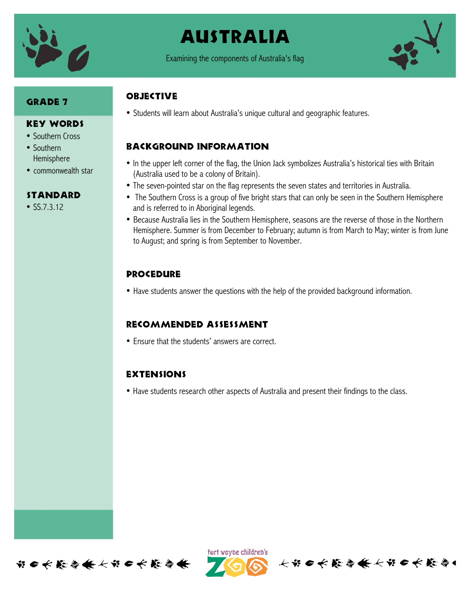

# Australia

Examining the components of Australia's flag



# **GRADE 7**

#### Key Words

- Southern Cross
- Southern Hemisphere
- commonwealth star

### Standard

•  $SS.7.3.12$ 

# **OBJECTIVE**

• Students will learn about Australia's unique cultural and geographic features.

# Background information

- In the upper left corner of the flag, the Union Jack symbolizes Australia's historical ties with Britain (Australia used to be a colony of Britain).
- The seven-pointed star on the flag represents the seven states and territories in Australia.
- The Southern Cross is a group of five bright stars that can only be seen in the Southern Hemisphere and is referred to in Aboriginal legends.
- Because Australia lies in the Southern Hemisphere, seasons are the reverse of those in the Northern Hemisphere. Summer is from December to February; autumn is from March to May; winter is from June to August; and spring is from September to November.

# **PROCEDURE**

• Have students answer the questions with the help of the provided background information.

### Recommended assessment

• Ensure that the students' answers are correct.

### **EXTENSIONS**

• Have students research other aspects of Australia and present their findings to the class.





长节 6 长 能 停 条 长节 6 长 能 停 4